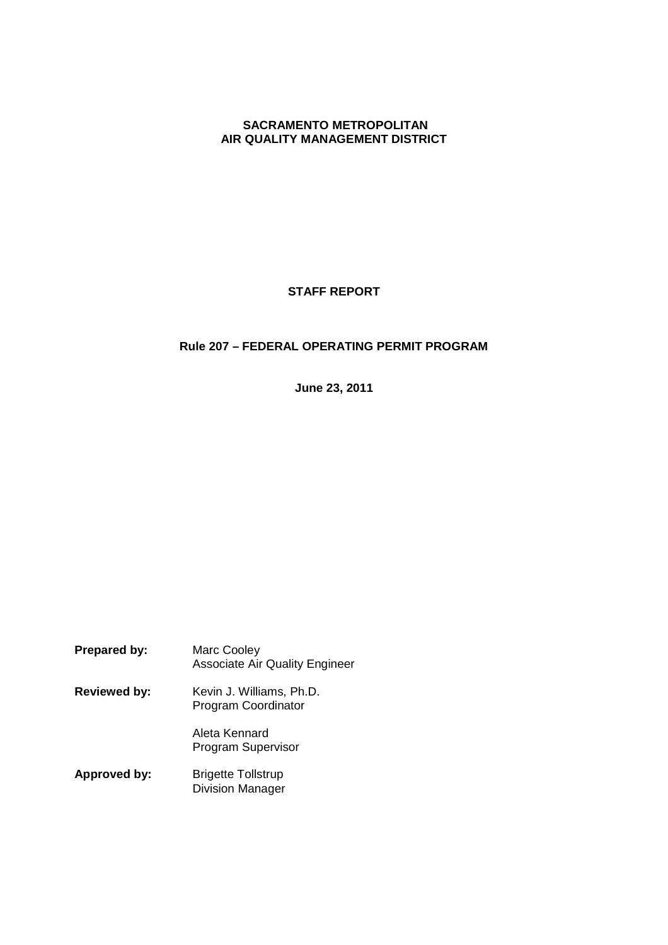### **SACRAMENTO METROPOLITAN AIR QUALITY MANAGEMENT DISTRICT**

# **STAFF REPORT**

# **Rule 207 – FEDERAL OPERATING PERMIT PROGRAM**

**June 23, 2011**

| <b>Prepared by:</b> | <b>Marc Cooley</b><br><b>Associate Air Quality Engineer</b> |
|---------------------|-------------------------------------------------------------|
| <b>Reviewed by:</b> | Kevin J. Williams, Ph.D.<br>Program Coordinator             |
|                     | Aleta Kennard<br><b>Program Supervisor</b>                  |
| Approved by:        | <b>Brigette Tollstrup</b><br><b>Division Manager</b>        |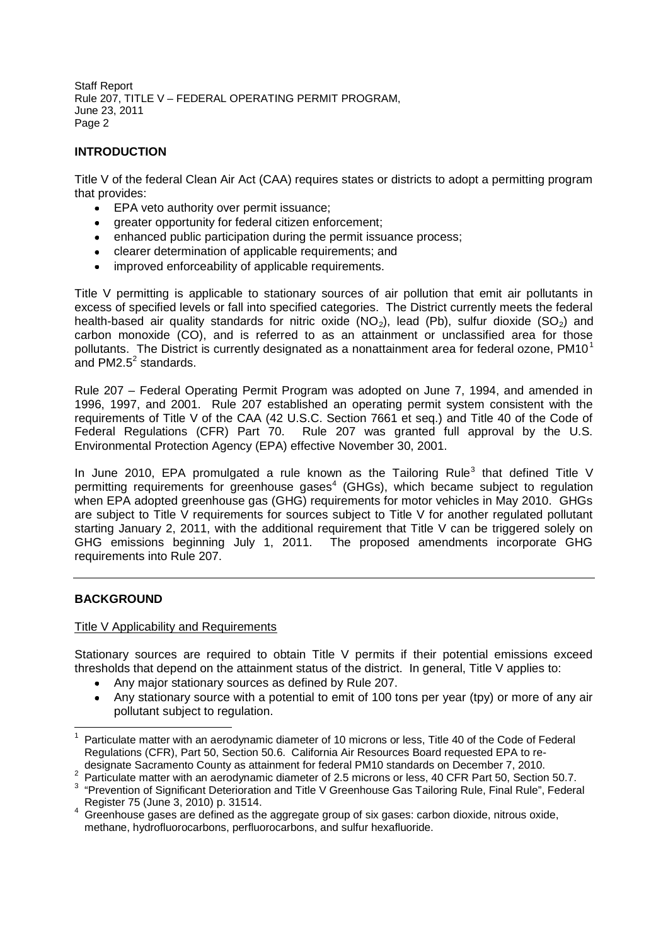# **INTRODUCTION**

Title V of the federal Clean Air Act (CAA) requires states or districts to adopt a permitting program that provides:

- EPA veto authority over permit issuance;  $\bullet$
- greater opportunity for federal citizen enforcement;
- enhanced public participation during the permit issuance process;
- clearer determination of applicable requirements; and
- improved enforceability of applicable requirements.

Title V permitting is applicable to stationary sources of air pollution that emit air pollutants in excess of specified levels or fall into specified categories. The District currently meets the federal health-based air quality standards for nitric oxide (NO<sub>2</sub>), lead (Pb), sulfur dioxide (SO<sub>2</sub>) and carbon monoxide (CO), and is referred to as an attainment or unclassified area for those pollutants. The District is currently designated as a nonattainment area for federal ozone,  $PM10<sup>1</sup>$ and PM2.5 $2$  standards.

Rule 207 – Federal Operating Permit Program was adopted on June 7, 1994, and amended in 1996, 1997, and 2001. Rule 207 established an operating permit system consistent with the requirements of Title V of the CAA (42 U.S.C. Section 7661 et seq.) and Title 40 of the Code of Federal Regulations (CFR) Part 70. Rule 207 was granted full approval by the U.S. Environmental Protection Agency (EPA) effective November 30, 2001.

In June 2010, EPA promulgated a rule known as the Tailoring Rule<sup>3</sup> that defined Title V permitting requirements for greenhouse gases<sup>4</sup> (GHGs), which became subject to regulation when EPA adopted greenhouse gas (GHG) requirements for motor vehicles in May 2010. GHGs are subject to Title V requirements for sources subject to Title V for another regulated pollutant starting January 2, 2011, with the additional requirement that Title V can be triggered solely on GHG emissions beginning July 1, 2011. The proposed amendments incorporate GHG requirements into Rule 207.

## **BACKGROUND**

### Title V Applicability and Requirements

Stationary sources are required to obtain Title V permits if their potential emissions exceed thresholds that depend on the attainment status of the district. In general, Title V applies to:

- Any major stationary sources as defined by Rule 207.
- Any stationary source with a potential to emit of 100 tons per year (tpy) or more of any air pollutant subject to regulation.

<sup>2</sup> Particulate matter with an aerodynamic diameter of 2.5 microns or less, 40 CFR Part 50, Section 50.7.

<sup>1</sup> Particulate matter with an aerodynamic diameter of 10 microns or less, Title 40 of the Code of Federal Regulations (CFR), Part 50, Section 50.6. California Air Resources Board requested EPA to redesignate Sacramento County as attainment for federal PM10 standards on December 7, 2010.

<sup>&</sup>lt;sup>3</sup> "Prevention of Significant Deterioration and Title V Greenhouse Gas Tailoring Rule, Final Rule", Federal Register 75 (June 3, 2010) p. 31514.

<sup>&</sup>lt;sup>4</sup> Greenhouse gases are defined as the aggregate group of six gases: carbon dioxide, nitrous oxide, methane, hydrofluorocarbons, perfluorocarbons, and sulfur hexafluoride.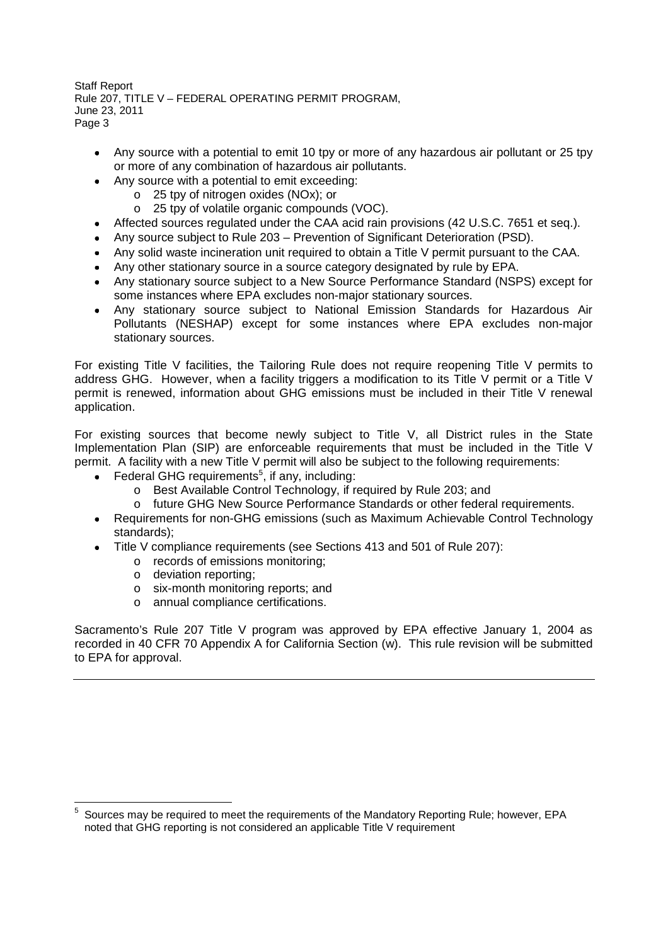- Any source with a potential to emit 10 tpy or more of any hazardous air pollutant or 25 tpy or more of any combination of hazardous air pollutants.
- Any source with a potential to emit exceeding:  $\bullet$ 
	- o 25 tpy of nitrogen oxides (NOx); or
	- o 25 tpy of volatile organic compounds (VOC).
- Affected sources regulated under the CAA acid rain provisions (42 U.S.C. 7651 et seq.).
- Any source subject to Rule 203 Prevention of Significant Deterioration (PSD).
- Any solid waste incineration unit required to obtain a Title V permit pursuant to the CAA.
- Any other stationary source in a source category designated by rule by EPA.
- Any stationary source subject to a New Source Performance Standard (NSPS) except for some instances where EPA excludes non-major stationary sources.
- Any stationary source subject to National Emission Standards for Hazardous Air Pollutants (NESHAP) except for some instances where EPA excludes non-major stationary sources.

For existing Title V facilities, the Tailoring Rule does not require reopening Title V permits to address GHG. However, when a facility triggers a modification to its Title V permit or a Title V permit is renewed, information about GHG emissions must be included in their Title V renewal application.

For existing sources that become newly subject to Title V, all District rules in the State Implementation Plan (SIP) are enforceable requirements that must be included in the Title V permit. A facility with a new Title V permit will also be subject to the following requirements:

- Federal GHG requirements<sup>5</sup>, if any, including:
	- o Best Available Control Technology, if required by Rule 203; and
	- o future GHG New Source Performance Standards or other federal requirements.
- Requirements for non-GHG emissions (such as Maximum Achievable Control Technology standards);
- Title V compliance requirements (see Sections 413 and 501 of Rule 207):
	- o records of emissions monitoring;
	- o deviation reporting;
	- o six-month monitoring reports; and
	- o annual compliance certifications.

Sacramento's Rule 207 Title V program was approved by EPA effective January 1, 2004 as recorded in 40 CFR 70 Appendix A for California Section (w). This rule revision will be submitted to EPA for approval.

<sup>5</sup> Sources may be required to meet the requirements of the Mandatory Reporting Rule; however, EPA noted that GHG reporting is not considered an applicable Title V requirement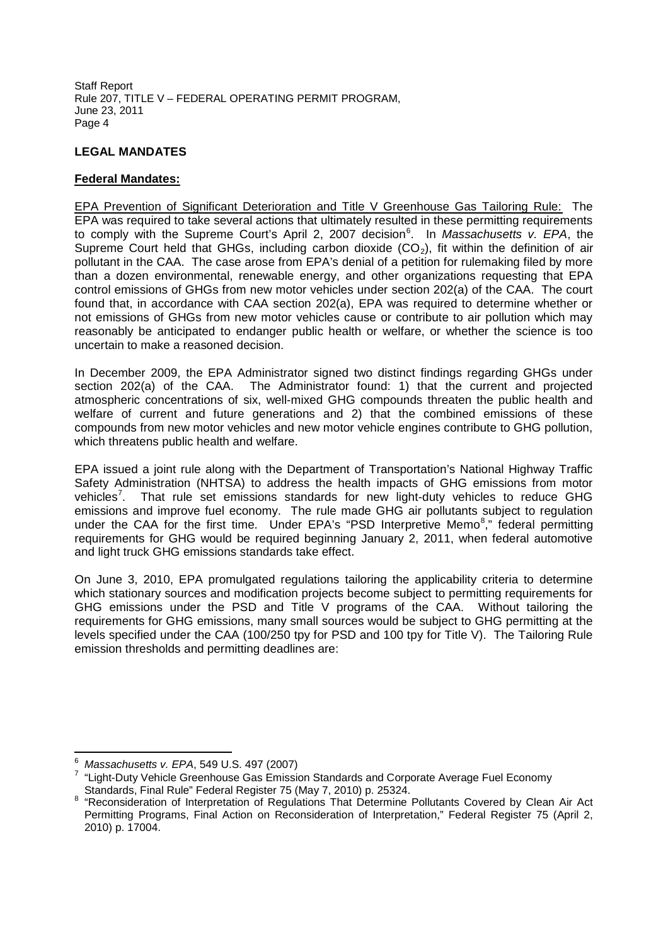### **LEGAL MANDATES**

### **Federal Mandates:**

EPA Prevention of Significant Deterioration and Title V Greenhouse Gas Tailoring Rule: The EPA was required to take several actions that ultimately resulted in these permitting requirements to comply with the Supreme Court's April 2, 2007 decision<sup>6</sup>. In *Massachusetts v. EPA*, the Supreme Court held that GHGs, including carbon dioxide  $(CO<sub>2</sub>)$ , fit within the definition of air pollutant in the CAA. The case arose from EPA's denial of a petition for rulemaking filed by more than a dozen environmental, renewable energy, and other organizations requesting that EPA control emissions of GHGs from new motor vehicles under section 202(a) of the CAA. The court found that, in accordance with CAA section 202(a), EPA was required to determine whether or not emissions of GHGs from new motor vehicles cause or contribute to air pollution which may reasonably be anticipated to endanger public health or welfare, or whether the science is too uncertain to make a reasoned decision.

In December 2009, the EPA Administrator signed two distinct findings regarding GHGs under section 202(a) of the CAA. The Administrator found: 1) that the current and projected atmospheric concentrations of six, well-mixed GHG compounds threaten the public health and welfare of current and future generations and 2) that the combined emissions of these compounds from new motor vehicles and new motor vehicle engines contribute to GHG pollution, which threatens public health and welfare.

EPA issued a joint rule along with the Department of Transportation's National Highway Traffic Safety Administration (NHTSA) to address the health impacts of GHG emissions from motor vehicles<sup>7</sup>. That rule set emissions standards for new light-duty vehicles to reduce GHG emissions and improve fuel economy. The rule made GHG air pollutants subject to regulation under the CAA for the first time. Under EPA's "PSD Interpretive Memo<sup>8</sup>," federal permitting requirements for GHG would be required beginning January 2, 2011, when federal automotive and light truck GHG emissions standards take effect.

On June 3, 2010, EPA promulgated regulations tailoring the applicability criteria to determine which stationary sources and modification projects become subject to permitting requirements for GHG emissions under the PSD and Title V programs of the CAA. Without tailoring the requirements for GHG emissions, many small sources would be subject to GHG permitting at the levels specified under the CAA (100/250 tpy for PSD and 100 tpy for Title V). The Tailoring Rule emission thresholds and permitting deadlines are:

<sup>6</sup> *Massachusetts v. EPA*, 549 U.S. 497 (2007)

<sup>&</sup>lt;sup>7</sup> "Light-Duty Vehicle Greenhouse Gas Emission Standards and Corporate Average Fuel Economy Standards, Final Rule" Federal Register 75 (May 7, 2010) p. 25324.

<sup>&</sup>lt;sup>8</sup> "Reconsideration of Interpretation of Regulations That Determine Pollutants Covered by Clean Air Act Permitting Programs, Final Action on Reconsideration of Interpretation," Federal Register 75 (April 2, 2010) p. 17004.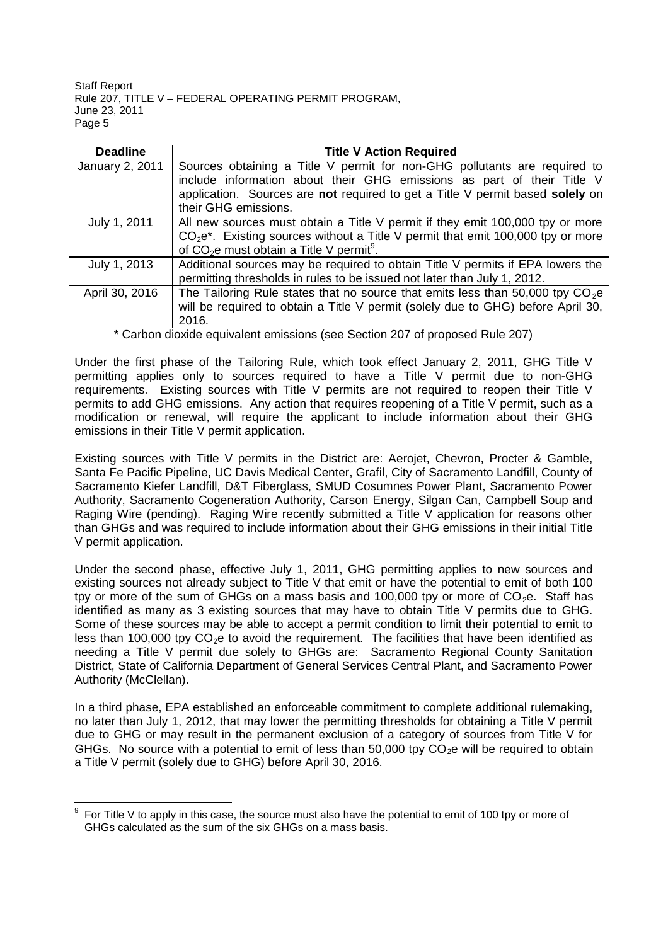| <b>Deadline</b> | <b>Title V Action Required</b>                                                    |  |  |
|-----------------|-----------------------------------------------------------------------------------|--|--|
| January 2, 2011 | Sources obtaining a Title V permit for non-GHG pollutants are required to         |  |  |
|                 | include information about their GHG emissions as part of their Title V            |  |  |
|                 | application. Sources are not required to get a Title V permit based solely on     |  |  |
|                 | their GHG emissions.                                                              |  |  |
| July 1, 2011    | All new sources must obtain a Title V permit if they emit 100,000 tpy or more     |  |  |
|                 | $CO2e*$ . Existing sources without a Title V permit that emit 100,000 tpy or more |  |  |
|                 | of $CO2e$ must obtain a Title V permit <sup>9</sup> .                             |  |  |
| July 1, 2013    | Additional sources may be required to obtain Title V permits if EPA lowers the    |  |  |
|                 | permitting thresholds in rules to be issued not later than July 1, 2012.          |  |  |
| April 30, 2016  | The Tailoring Rule states that no source that emits less than 50,000 tpy $CO2e$   |  |  |
|                 | will be required to obtain a Title V permit (solely due to GHG) before April 30,  |  |  |
|                 | 2016.                                                                             |  |  |

\* Carbon dioxide equivalent emissions (see Section 207 of proposed Rule 207)

Under the first phase of the Tailoring Rule, which took effect January 2, 2011, GHG Title V permitting applies only to sources required to have a Title V permit due to non-GHG requirements. Existing sources with Title V permits are not required to reopen their Title V permits to add GHG emissions. Any action that requires reopening of a Title V permit, such as a modification or renewal, will require the applicant to include information about their GHG emissions in their Title V permit application.

Existing sources with Title V permits in the District are: Aerojet, Chevron, Procter & Gamble, Santa Fe Pacific Pipeline, UC Davis Medical Center, Grafil, City of Sacramento Landfill, County of Sacramento Kiefer Landfill, D&T Fiberglass, SMUD Cosumnes Power Plant, Sacramento Power Authority, Sacramento Cogeneration Authority, Carson Energy, Silgan Can, Campbell Soup and Raging Wire (pending). Raging Wire recently submitted a Title V application for reasons other than GHGs and was required to include information about their GHG emissions in their initial Title V permit application.

Under the second phase, effective July 1, 2011, GHG permitting applies to new sources and existing sources not already subject to Title V that emit or have the potential to emit of both 100 tpy or more of the sum of GHGs on a mass basis and 100,000 tpy or more of  $CO<sub>2</sub>e$ . Staff has identified as many as 3 existing sources that may have to obtain Title V permits due to GHG. Some of these sources may be able to accept a permit condition to limit their potential to emit to less than 100,000 tpy  $CO<sub>2</sub>e$  to avoid the requirement. The facilities that have been identified as needing a Title V permit due solely to GHGs are: Sacramento Regional County Sanitation District, State of California Department of General Services Central Plant, and Sacramento Power Authority (McClellan).

In a third phase, EPA established an enforceable commitment to complete additional rulemaking, no later than July 1, 2012, that may lower the permitting thresholds for obtaining a Title V permit due to GHG or may result in the permanent exclusion of a category of sources from Title V for GHGs. No source with a potential to emit of less than 50,000 tpy  $CO<sub>2</sub>e$  will be required to obtain a Title V permit (solely due to GHG) before April 30, 2016.

<sup>9</sup> For Title V to apply in this case, the source must also have the potential to emit of 100 tpy or more of GHGs calculated as the sum of the six GHGs on a mass basis.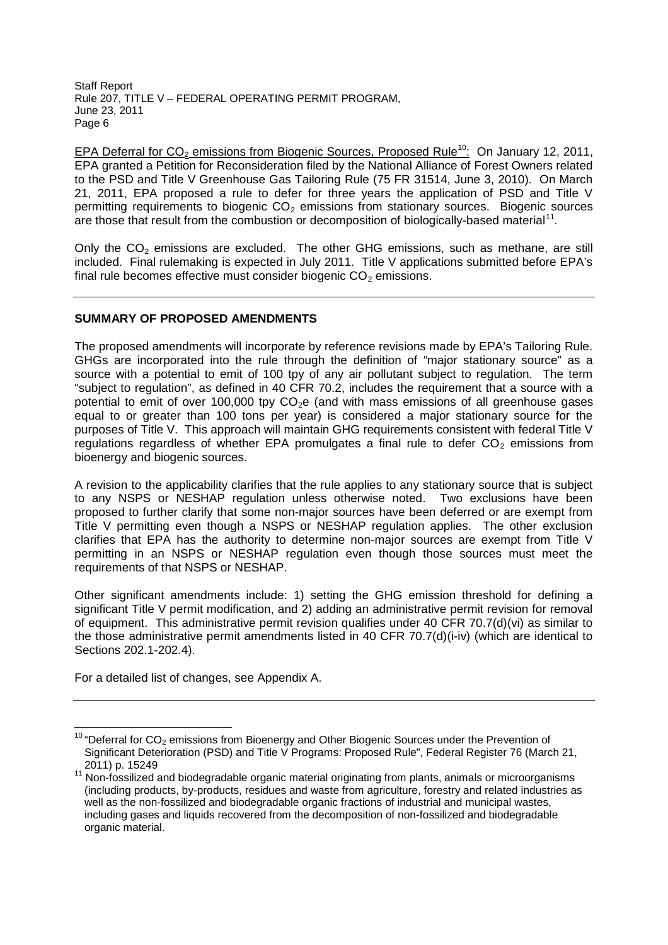EPA Deferral for  $CO_2$  emissions from Biogenic Sources, Proposed Rule<sup>10</sup>: On January 12, 2011, EPA granted a Petition for Reconsideration filed by the National Alliance of Forest Owners related to the PSD and Title V Greenhouse Gas Tailoring Rule (75 FR 31514, June 3, 2010). On March 21, 2011, EPA proposed a rule to defer for three years the application of PSD and Title V permitting requirements to biogenic  $CO<sub>2</sub>$  emissions from stationary sources. Biogenic sources are those that result from the combustion or decomposition of biologically-based material<sup>11</sup>.

Only the  $CO<sub>2</sub>$  emissions are excluded. The other GHG emissions, such as methane, are still included. Final rulemaking is expected in July 2011. Title V applications submitted before EPA's final rule becomes effective must consider biogenic  $CO<sub>2</sub>$  emissions.

## **SUMMARY OF PROPOSED AMENDMENTS**

The proposed amendments will incorporate by reference revisions made by EPA's Tailoring Rule. GHGs are incorporated into the rule through the definition of "major stationary source" as a source with a potential to emit of 100 tpy of any air pollutant subject to regulation. The term "subject to regulation", as defined in 40 CFR 70.2, includes the requirement that a source with a potential to emit of over 100,000 tpy  $CO<sub>2</sub>e$  (and with mass emissions of all greenhouse gases equal to or greater than 100 tons per year) is considered a major stationary source for the purposes of Title V. This approach will maintain GHG requirements consistent with federal Title V regulations regardless of whether EPA promulgates a final rule to defer  $CO<sub>2</sub>$  emissions from bioenergy and biogenic sources.

A revision to the applicability clarifies that the rule applies to any stationary source that is subject to any NSPS or NESHAP regulation unless otherwise noted. Two exclusions have been proposed to further clarify that some non-major sources have been deferred or are exempt from Title V permitting even though a NSPS or NESHAP regulation applies. The other exclusion clarifies that EPA has the authority to determine non-major sources are exempt from Title V permitting in an NSPS or NESHAP regulation even though those sources must meet the requirements of that NSPS or NESHAP.

Other significant amendments include: 1) setting the GHG emission threshold for defining a significant Title V permit modification, and 2) adding an administrative permit revision for removal of equipment. This administrative permit revision qualifies under 40 CFR 70.7(d)(vi) as similar to the those administrative permit amendments listed in 40 CFR 70.7(d)(i-iv) (which are identical to Sections 202.1-202.4).

For a detailed list of changes, see Appendix A.

 $10$  "Deferral for  $CO<sub>2</sub>$  emissions from Bioenergy and Other Biogenic Sources under the Prevention of Significant Deterioration (PSD) and Title V Programs: Proposed Rule", Federal Register 76 (March 21, 2011) p. 15249

<sup>11</sup> Non-fossilized and biodegradable organic material originating from plants, animals or microorganisms (including products, by-products, residues and waste from agriculture, forestry and related industries as well as the non-fossilized and biodegradable organic fractions of industrial and municipal wastes, including gases and liquids recovered from the decomposition of non-fossilized and biodegradable organic material.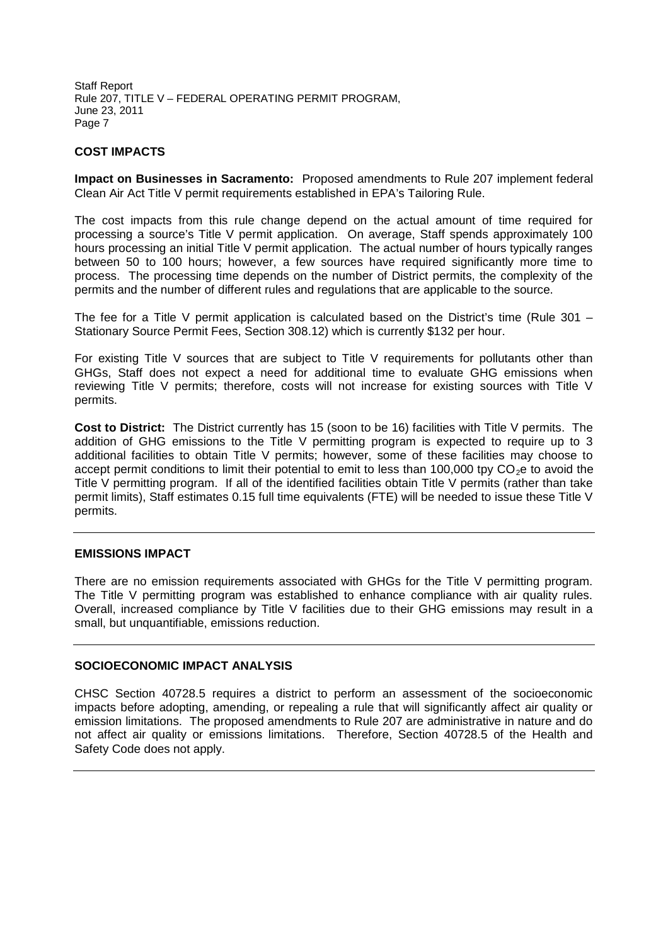### **COST IMPACTS**

**Impact on Businesses in Sacramento:** Proposed amendments to Rule 207 implement federal Clean Air Act Title V permit requirements established in EPA's Tailoring Rule.

The cost impacts from this rule change depend on the actual amount of time required for processing a source's Title V permit application. On average, Staff spends approximately 100 hours processing an initial Title V permit application. The actual number of hours typically ranges between 50 to 100 hours; however, a few sources have required significantly more time to process. The processing time depends on the number of District permits, the complexity of the permits and the number of different rules and regulations that are applicable to the source.

The fee for a Title V permit application is calculated based on the District's time (Rule 301 – Stationary Source Permit Fees, Section 308.12) which is currently \$132 per hour.

For existing Title V sources that are subject to Title V requirements for pollutants other than GHGs, Staff does not expect a need for additional time to evaluate GHG emissions when reviewing Title V permits; therefore, costs will not increase for existing sources with Title V permits.

**Cost to District:** The District currently has 15 (soon to be 16) facilities with Title V permits. The addition of GHG emissions to the Title V permitting program is expected to require up to 3 additional facilities to obtain Title V permits; however, some of these facilities may choose to accept permit conditions to limit their potential to emit to less than 100,000 tpy  $CO<sub>2</sub>e$  to avoid the Title V permitting program. If all of the identified facilities obtain Title V permits (rather than take permit limits), Staff estimates 0.15 full time equivalents (FTE) will be needed to issue these Title V permits.

### **EMISSIONS IMPACT**

There are no emission requirements associated with GHGs for the Title V permitting program. The Title V permitting program was established to enhance compliance with air quality rules. Overall, increased compliance by Title V facilities due to their GHG emissions may result in a small, but unquantifiable, emissions reduction.

### **SOCIOECONOMIC IMPACT ANALYSIS**

CHSC Section 40728.5 requires a district to perform an assessment of the socioeconomic impacts before adopting, amending, or repealing a rule that will significantly affect air quality or emission limitations. The proposed amendments to Rule 207 are administrative in nature and do not affect air quality or emissions limitations. Therefore, Section 40728.5 of the Health and Safety Code does not apply.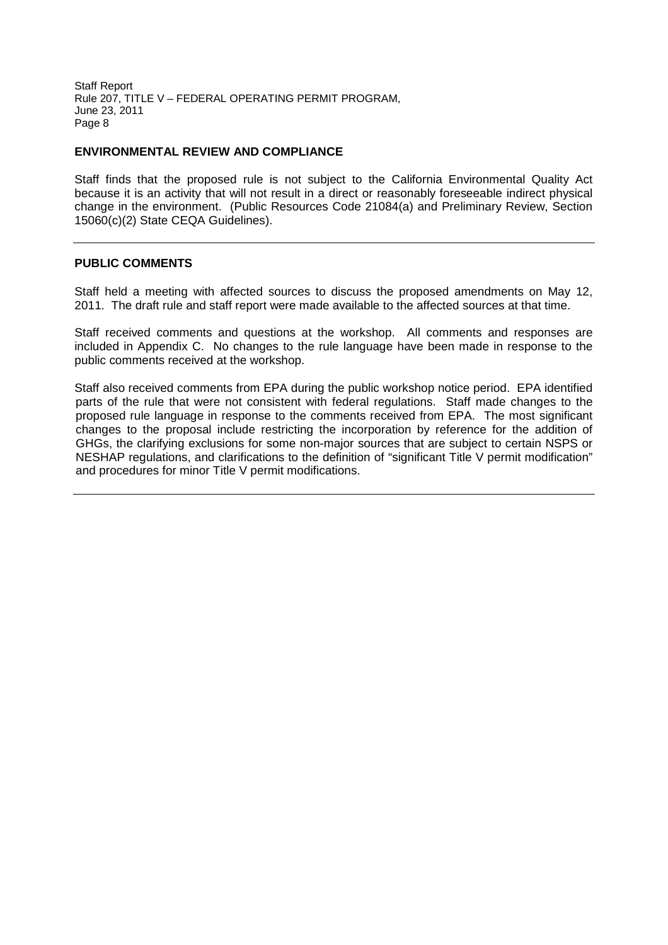### **ENVIRONMENTAL REVIEW AND COMPLIANCE**

Staff finds that the proposed rule is not subject to the California Environmental Quality Act because it is an activity that will not result in a direct or reasonably foreseeable indirect physical change in the environment. (Public Resources Code 21084(a) and Preliminary Review, Section 15060(c)(2) State CEQA Guidelines).

### **PUBLIC COMMENTS**

Staff held a meeting with affected sources to discuss the proposed amendments on May 12, 2011. The draft rule and staff report were made available to the affected sources at that time.

Staff received comments and questions at the workshop. All comments and responses are included in Appendix C. No changes to the rule language have been made in response to the public comments received at the workshop.

Staff also received comments from EPA during the public workshop notice period. EPA identified parts of the rule that were not consistent with federal regulations. Staff made changes to the proposed rule language in response to the comments received from EPA. The most significant changes to the proposal include restricting the incorporation by reference for the addition of GHGs, the clarifying exclusions for some non-major sources that are subject to certain NSPS or NESHAP regulations, and clarifications to the definition of "significant Title V permit modification" and procedures for minor Title V permit modifications.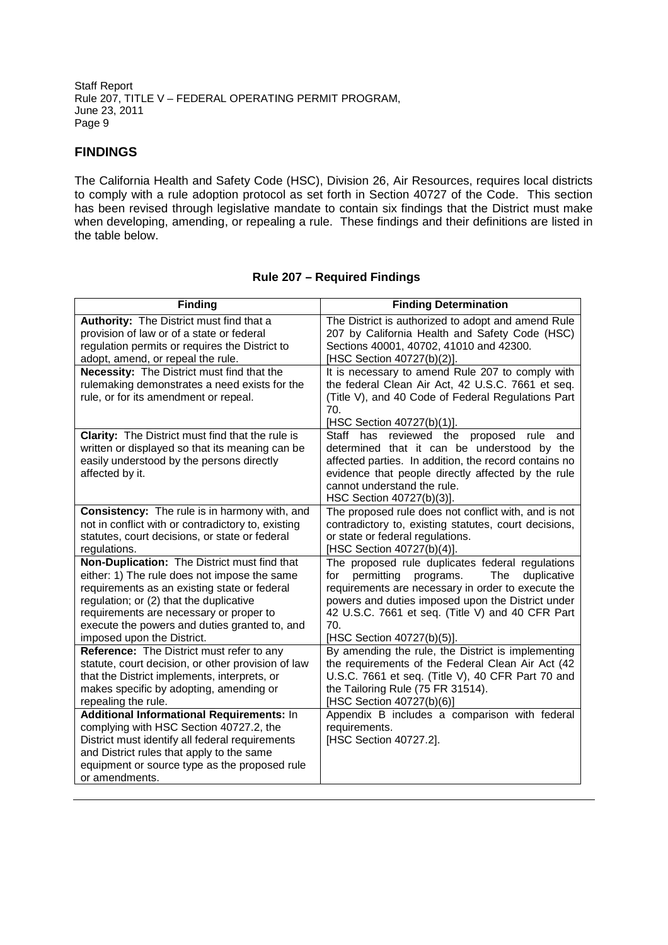# **FINDINGS**

The California Health and Safety Code (HSC), Division 26, Air Resources, requires local districts to comply with a rule adoption protocol as set forth in Section 40727 of the Code. This section has been revised through legislative mandate to contain six findings that the District must make when developing, amending, or repealing a rule. These findings and their definitions are listed in the table below.

| <b>Finding</b>                                                                                                                                                                                                                                                              | <b>Finding Determination</b>                                                                                                                                                                                                                                                           |  |
|-----------------------------------------------------------------------------------------------------------------------------------------------------------------------------------------------------------------------------------------------------------------------------|----------------------------------------------------------------------------------------------------------------------------------------------------------------------------------------------------------------------------------------------------------------------------------------|--|
| Authority: The District must find that a<br>provision of law or of a state or federal<br>regulation permits or requires the District to<br>adopt, amend, or repeal the rule.<br>Necessity: The District must find that the<br>rulemaking demonstrates a need exists for the | The District is authorized to adopt and amend Rule<br>207 by California Health and Safety Code (HSC)<br>Sections 40001, 40702, 41010 and 42300.<br>[HSC Section 40727(b)(2)].<br>It is necessary to amend Rule 207 to comply with<br>the federal Clean Air Act, 42 U.S.C. 7661 et seq. |  |
| rule, or for its amendment or repeal.                                                                                                                                                                                                                                       | (Title V), and 40 Code of Federal Regulations Part<br>70.<br>[HSC Section 40727(b)(1)].                                                                                                                                                                                                |  |
| <b>Clarity:</b> The District must find that the rule is<br>written or displayed so that its meaning can be<br>easily understood by the persons directly<br>affected by it.                                                                                                  | Staff has<br>reviewed the proposed<br>rule<br>and<br>determined that it can be understood by the<br>affected parties. In addition, the record contains no<br>evidence that people directly affected by the rule<br>cannot understand the rule.<br>HSC Section 40727(b)(3)].            |  |
| <b>Consistency:</b> The rule is in harmony with, and<br>not in conflict with or contradictory to, existing<br>statutes, court decisions, or state or federal<br>regulations.                                                                                                | The proposed rule does not conflict with, and is not<br>contradictory to, existing statutes, court decisions,<br>or state or federal regulations.<br>[HSC Section 40727(b)(4)].                                                                                                        |  |
| Non-Duplication: The District must find that                                                                                                                                                                                                                                | The proposed rule duplicates federal regulations                                                                                                                                                                                                                                       |  |
| either: 1) The rule does not impose the same<br>requirements as an existing state or federal<br>regulation; or (2) that the duplicative<br>requirements are necessary or proper to<br>execute the powers and duties granted to, and<br>imposed upon the District.           | permitting<br>The<br>programs.<br>duplicative<br>for<br>requirements are necessary in order to execute the<br>powers and duties imposed upon the District under<br>42 U.S.C. 7661 et seq. (Title V) and 40 CFR Part<br>70.<br>[HSC Section 40727(b)(5)].                               |  |
| Reference: The District must refer to any<br>statute, court decision, or other provision of law<br>that the District implements, interprets, or<br>makes specific by adopting, amending or<br>repealing the rule.<br>Additional Informational Requirements: In              | By amending the rule, the District is implementing<br>the requirements of the Federal Clean Air Act (42<br>U.S.C. 7661 et seq. (Title V), 40 CFR Part 70 and<br>the Tailoring Rule (75 FR 31514).<br>[HSC Section 40727(b)(6)]<br>Appendix B includes a comparison with federal        |  |
| complying with HSC Section 40727.2, the<br>District must identify all federal requirements<br>and District rules that apply to the same<br>equipment or source type as the proposed rule<br>or amendments.                                                                  | requirements.<br>[HSC Section 40727.2].                                                                                                                                                                                                                                                |  |

### **Rule 207 – Required Findings**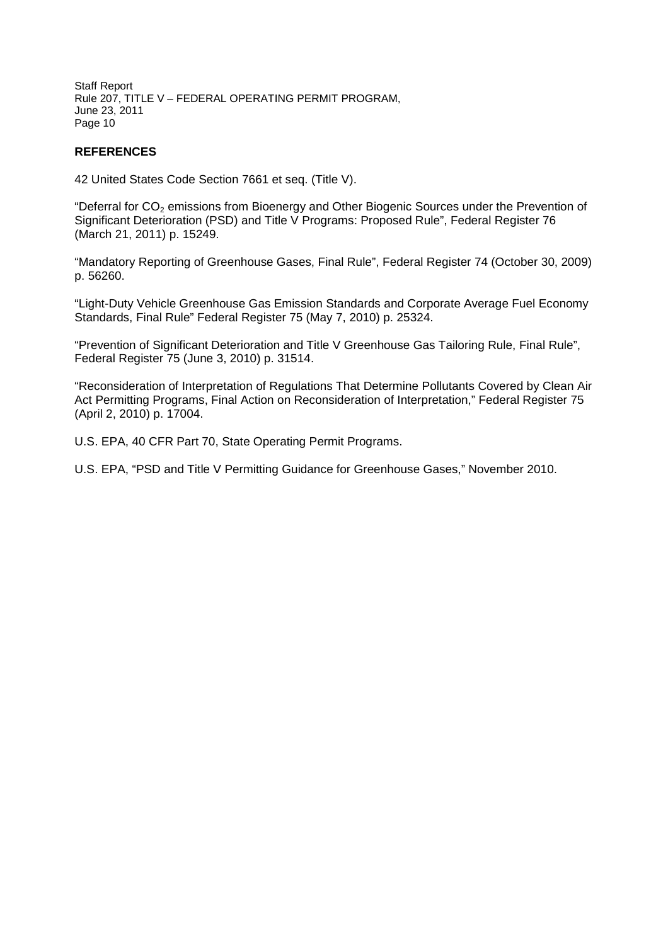### **REFERENCES**

42 United States Code Section 7661 et seq. (Title V).

"Deferral for CO<sub>2</sub> emissions from Bioenergy and Other Biogenic Sources under the Prevention of Significant Deterioration (PSD) and Title V Programs: Proposed Rule", Federal Register 76 (March 21, 2011) p. 15249.

"Mandatory Reporting of Greenhouse Gases, Final Rule", Federal Register 74 (October 30, 2009) p. 56260.

"Light-Duty Vehicle Greenhouse Gas Emission Standards and Corporate Average Fuel Economy Standards, Final Rule" Federal Register 75 (May 7, 2010) p. 25324.

"Prevention of Significant Deterioration and Title V Greenhouse Gas Tailoring Rule, Final Rule", Federal Register 75 (June 3, 2010) p. 31514.

"Reconsideration of Interpretation of Regulations That Determine Pollutants Covered by Clean Air Act Permitting Programs, Final Action on Reconsideration of Interpretation," Federal Register 75 (April 2, 2010) p. 17004.

U.S. EPA, 40 CFR Part 70, State Operating Permit Programs.

U.S. EPA, "PSD and Title V Permitting Guidance for Greenhouse Gases," November 2010.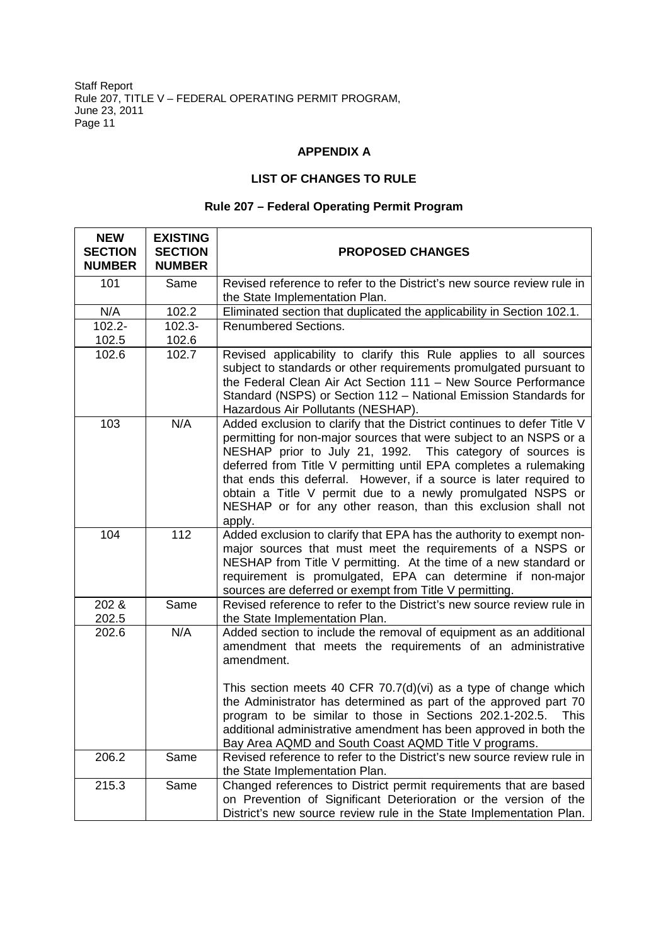### **APPENDIX A**

# **LIST OF CHANGES TO RULE**

# **Rule 207 – Federal Operating Permit Program**

| <b>NEW</b><br><b>SECTION</b><br><b>NUMBER</b> | <b>EXISTING</b><br><b>SECTION</b><br><b>NUMBER</b> | <b>PROPOSED CHANGES</b>                                                                                                                                                                                                                                                                                                                                                                                                                                                                         |
|-----------------------------------------------|----------------------------------------------------|-------------------------------------------------------------------------------------------------------------------------------------------------------------------------------------------------------------------------------------------------------------------------------------------------------------------------------------------------------------------------------------------------------------------------------------------------------------------------------------------------|
| 101                                           | Same                                               | Revised reference to refer to the District's new source review rule in<br>the State Implementation Plan.                                                                                                                                                                                                                                                                                                                                                                                        |
| N/A                                           | 102.2                                              | Eliminated section that duplicated the applicability in Section 102.1.                                                                                                                                                                                                                                                                                                                                                                                                                          |
| $102.2 -$                                     | $102.3 -$                                          | <b>Renumbered Sections.</b>                                                                                                                                                                                                                                                                                                                                                                                                                                                                     |
| 102.5                                         | 102.6                                              |                                                                                                                                                                                                                                                                                                                                                                                                                                                                                                 |
| 102.6                                         | 102.7                                              | Revised applicability to clarify this Rule applies to all sources<br>subject to standards or other requirements promulgated pursuant to<br>the Federal Clean Air Act Section 111 - New Source Performance<br>Standard (NSPS) or Section 112 - National Emission Standards for<br>Hazardous Air Pollutants (NESHAP).                                                                                                                                                                             |
| 103                                           | N/A                                                | Added exclusion to clarify that the District continues to defer Title V<br>permitting for non-major sources that were subject to an NSPS or a<br>NESHAP prior to July 21, 1992. This category of sources is<br>deferred from Title V permitting until EPA completes a rulemaking<br>that ends this deferral. However, if a source is later required to<br>obtain a Title V permit due to a newly promulgated NSPS or<br>NESHAP or for any other reason, than this exclusion shall not<br>apply. |
| 104                                           | 112                                                | Added exclusion to clarify that EPA has the authority to exempt non-<br>major sources that must meet the requirements of a NSPS or<br>NESHAP from Title V permitting. At the time of a new standard or<br>requirement is promulgated, EPA can determine if non-major<br>sources are deferred or exempt from Title V permitting.                                                                                                                                                                 |
| 202 &<br>202.5                                | Same                                               | Revised reference to refer to the District's new source review rule in<br>the State Implementation Plan.                                                                                                                                                                                                                                                                                                                                                                                        |
| 202.6                                         | N/A                                                | Added section to include the removal of equipment as an additional<br>amendment that meets the requirements of an administrative<br>amendment.                                                                                                                                                                                                                                                                                                                                                  |
|                                               |                                                    | This section meets 40 CFR $70.7(d)(vi)$ as a type of change which<br>the Administrator has determined as part of the approved part 70<br>program to be similar to those in Sections 202.1-202.5.<br><b>This</b><br>additional administrative amendment has been approved in both the<br>Bay Area AQMD and South Coast AQMD Title V programs.                                                                                                                                                    |
| 206.2                                         | Same                                               | Revised reference to refer to the District's new source review rule in<br>the State Implementation Plan.                                                                                                                                                                                                                                                                                                                                                                                        |
| 215.3                                         | Same                                               | Changed references to District permit requirements that are based<br>on Prevention of Significant Deterioration or the version of the<br>District's new source review rule in the State Implementation Plan.                                                                                                                                                                                                                                                                                    |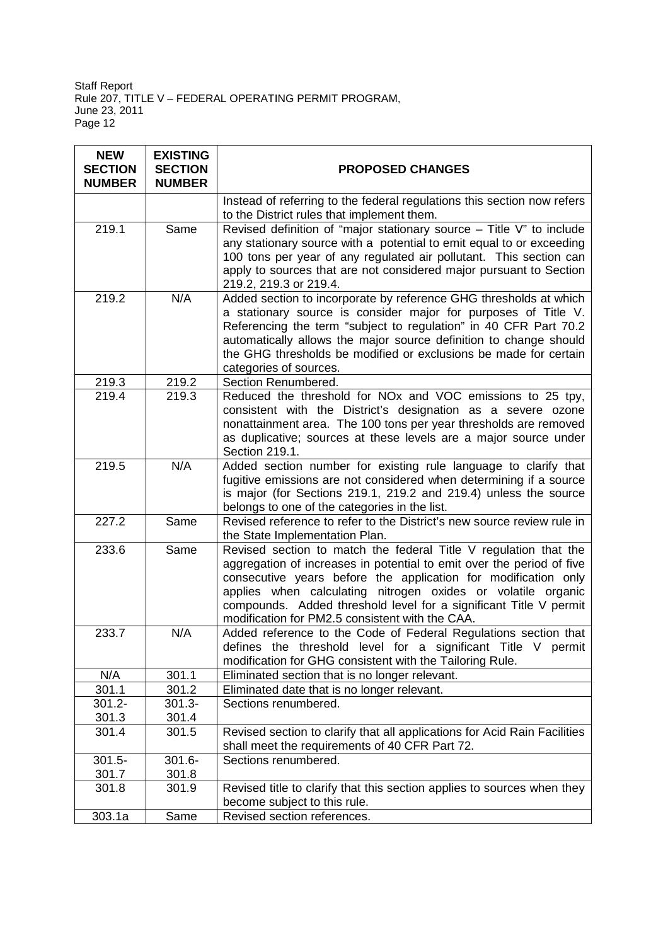| <b>NEW</b><br><b>SECTION</b><br><b>NUMBER</b> | <b>EXISTING</b><br><b>SECTION</b><br><b>NUMBER</b> | <b>PROPOSED CHANGES</b>                                                                                                                                                                                                                                                                                                                                                                             |  |
|-----------------------------------------------|----------------------------------------------------|-----------------------------------------------------------------------------------------------------------------------------------------------------------------------------------------------------------------------------------------------------------------------------------------------------------------------------------------------------------------------------------------------------|--|
|                                               |                                                    | Instead of referring to the federal regulations this section now refers<br>to the District rules that implement them.                                                                                                                                                                                                                                                                               |  |
| 219.1                                         | Same                                               | Revised definition of "major stationary source $-$ Title V" to include<br>any stationary source with a potential to emit equal to or exceeding<br>100 tons per year of any regulated air pollutant. This section can<br>apply to sources that are not considered major pursuant to Section<br>219.2, 219.3 or 219.4.                                                                                |  |
| 219.2                                         | N/A                                                | Added section to incorporate by reference GHG thresholds at which<br>a stationary source is consider major for purposes of Title V.<br>Referencing the term "subject to regulation" in 40 CFR Part 70.2<br>automatically allows the major source definition to change should<br>the GHG thresholds be modified or exclusions be made for certain<br>categories of sources.                          |  |
| 219.3                                         | 219.2                                              | Section Renumbered.                                                                                                                                                                                                                                                                                                                                                                                 |  |
| 219.4                                         | 219.3                                              | Reduced the threshold for NOx and VOC emissions to 25 tpy,<br>consistent with the District's designation as a severe ozone<br>nonattainment area. The 100 tons per year thresholds are removed<br>as duplicative; sources at these levels are a major source under<br>Section 219.1.                                                                                                                |  |
| 219.5                                         | N/A                                                | Added section number for existing rule language to clarify that<br>fugitive emissions are not considered when determining if a source<br>is major (for Sections 219.1, 219.2 and 219.4) unless the source<br>belongs to one of the categories in the list.                                                                                                                                          |  |
| 227.2                                         | Same                                               | Revised reference to refer to the District's new source review rule in<br>the State Implementation Plan.                                                                                                                                                                                                                                                                                            |  |
| 233.6                                         | Same                                               | Revised section to match the federal Title V regulation that the<br>aggregation of increases in potential to emit over the period of five<br>consecutive years before the application for modification only<br>applies when calculating nitrogen oxides or volatile organic<br>compounds. Added threshold level for a significant Title V permit<br>modification for PM2.5 consistent with the CAA. |  |
| 233.7                                         | N/A                                                | Added reference to the Code of Federal Regulations section that<br>defines the threshold level for a significant Title V permit<br>modification for GHG consistent with the Tailoring Rule.                                                                                                                                                                                                         |  |
| N/A                                           | 301.1                                              | Eliminated section that is no longer relevant.                                                                                                                                                                                                                                                                                                                                                      |  |
| 301.1                                         | 301.2                                              | Eliminated date that is no longer relevant.                                                                                                                                                                                                                                                                                                                                                         |  |
| $301.2 -$                                     | $301.3 -$                                          | Sections renumbered.                                                                                                                                                                                                                                                                                                                                                                                |  |
| 301.3                                         | 301.4                                              |                                                                                                                                                                                                                                                                                                                                                                                                     |  |
| 301.4                                         | 301.5                                              | Revised section to clarify that all applications for Acid Rain Facilities<br>shall meet the requirements of 40 CFR Part 72.                                                                                                                                                                                                                                                                         |  |
| $301.5 -$                                     | $301.6 -$                                          | Sections renumbered.                                                                                                                                                                                                                                                                                                                                                                                |  |
| 301.7                                         | 301.8                                              |                                                                                                                                                                                                                                                                                                                                                                                                     |  |
| 301.8                                         | 301.9                                              | Revised title to clarify that this section applies to sources when they<br>become subject to this rule.                                                                                                                                                                                                                                                                                             |  |
| 303.1a                                        | Same                                               | Revised section references.                                                                                                                                                                                                                                                                                                                                                                         |  |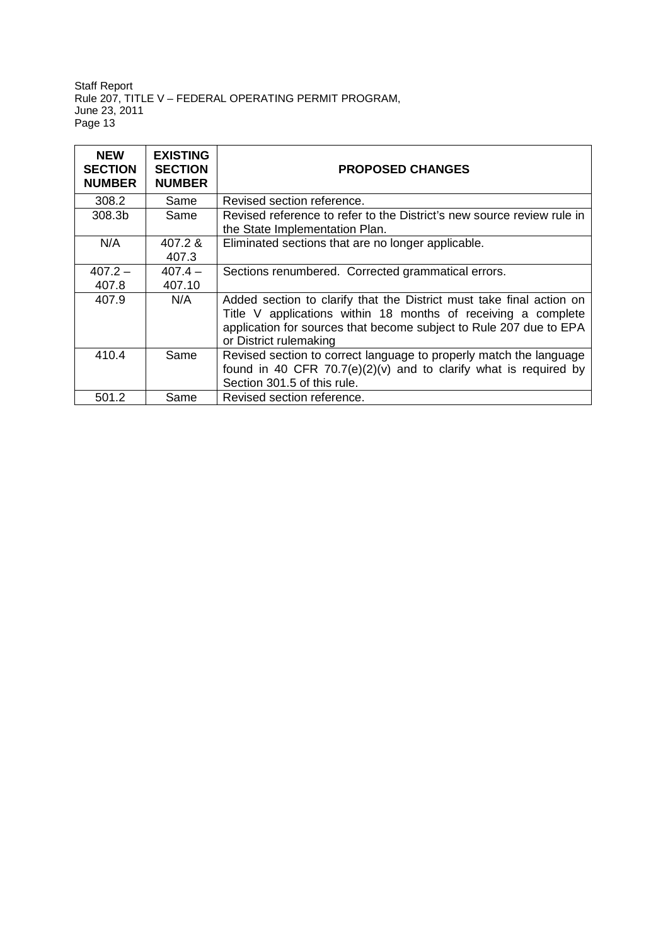| <b>NEW</b><br><b>SECTION</b><br><b>NUMBER</b> | <b>EXISTING</b><br><b>SECTION</b><br><b>NUMBER</b> | <b>PROPOSED CHANGES</b>                                                                                                                                                                                                               |
|-----------------------------------------------|----------------------------------------------------|---------------------------------------------------------------------------------------------------------------------------------------------------------------------------------------------------------------------------------------|
| 308.2                                         | Same                                               | Revised section reference.                                                                                                                                                                                                            |
| 308.3b                                        | Same                                               | Revised reference to refer to the District's new source review rule in<br>the State Implementation Plan.                                                                                                                              |
| N/A                                           | $407.2 \&$<br>407.3                                | Eliminated sections that are no longer applicable.                                                                                                                                                                                    |
| $407.2 -$                                     | $407.4 -$                                          | Sections renumbered. Corrected grammatical errors.                                                                                                                                                                                    |
| 407.8                                         | 407.10                                             |                                                                                                                                                                                                                                       |
| 407.9                                         | N/A                                                | Added section to clarify that the District must take final action on<br>Title V applications within 18 months of receiving a complete<br>application for sources that become subject to Rule 207 due to EPA<br>or District rulemaking |
| 410.4                                         | Same                                               | Revised section to correct language to properly match the language<br>found in 40 CFR $70.7(e)(2)(v)$ and to clarify what is required by<br>Section 301.5 of this rule.                                                               |
| 501.2                                         | Same                                               | Revised section reference.                                                                                                                                                                                                            |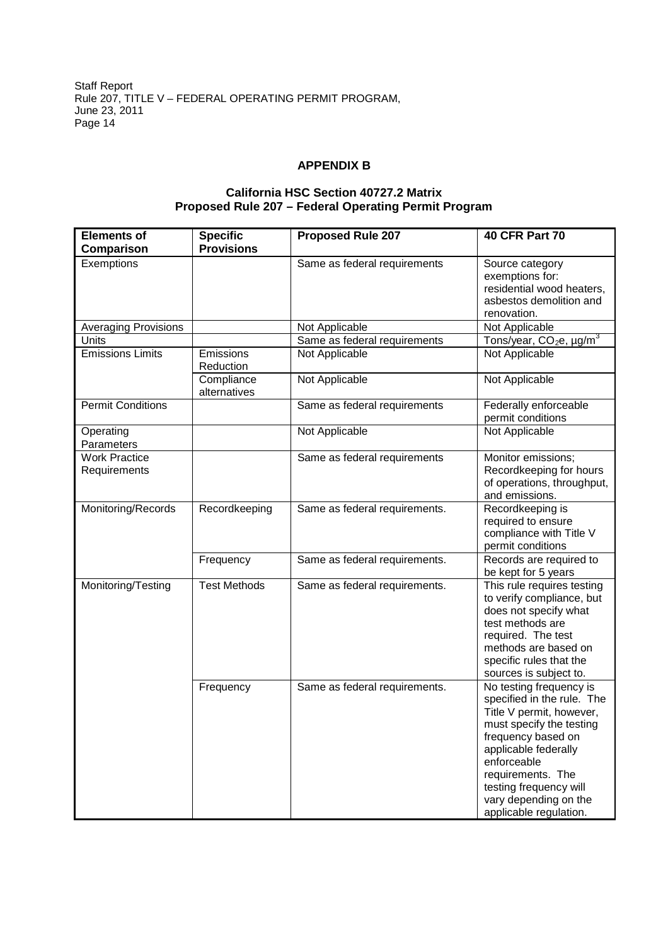### **APPENDIX B**

# **California HSC Section 40727.2 Matrix Proposed Rule 207 – Federal Operating Permit Program**

| <b>Elements of</b><br>Comparison     | <b>Specific</b><br><b>Provisions</b> | <b>Proposed Rule 207</b>      | <b>40 CFR Part 70</b>                                                                                                                                                                                                                                                        |
|--------------------------------------|--------------------------------------|-------------------------------|------------------------------------------------------------------------------------------------------------------------------------------------------------------------------------------------------------------------------------------------------------------------------|
| Exemptions                           |                                      | Same as federal requirements  | Source category<br>exemptions for:<br>residential wood heaters,<br>asbestos demolition and<br>renovation.                                                                                                                                                                    |
| <b>Averaging Provisions</b>          |                                      | Not Applicable                | Not Applicable                                                                                                                                                                                                                                                               |
| Units                                |                                      | Same as federal requirements  | Tons/year, CO <sub>2</sub> e, µg/m <sup>3</sup>                                                                                                                                                                                                                              |
| <b>Emissions Limits</b>              | Emissions<br>Reduction               | Not Applicable                | Not Applicable                                                                                                                                                                                                                                                               |
|                                      | Compliance<br>alternatives           | Not Applicable                | Not Applicable                                                                                                                                                                                                                                                               |
| <b>Permit Conditions</b>             |                                      | Same as federal requirements  | Federally enforceable<br>permit conditions                                                                                                                                                                                                                                   |
| Operating<br>Parameters              |                                      | Not Applicable                | Not Applicable                                                                                                                                                                                                                                                               |
| <b>Work Practice</b><br>Requirements |                                      | Same as federal requirements  | Monitor emissions;<br>Recordkeeping for hours<br>of operations, throughput,<br>and emissions.                                                                                                                                                                                |
| Monitoring/Records                   | Recordkeeping                        | Same as federal requirements. | Recordkeeping is<br>required to ensure<br>compliance with Title V<br>permit conditions                                                                                                                                                                                       |
|                                      | Frequency                            | Same as federal requirements. | Records are required to<br>be kept for 5 years                                                                                                                                                                                                                               |
| Monitoring/Testing                   | <b>Test Methods</b>                  | Same as federal requirements. | This rule requires testing<br>to verify compliance, but<br>does not specify what<br>test methods are<br>required. The test<br>methods are based on<br>specific rules that the<br>sources is subject to.                                                                      |
|                                      | Frequency                            | Same as federal requirements. | No testing frequency is<br>specified in the rule. The<br>Title V permit, however,<br>must specify the testing<br>frequency based on<br>applicable federally<br>enforceable<br>requirements. The<br>testing frequency will<br>vary depending on the<br>applicable regulation. |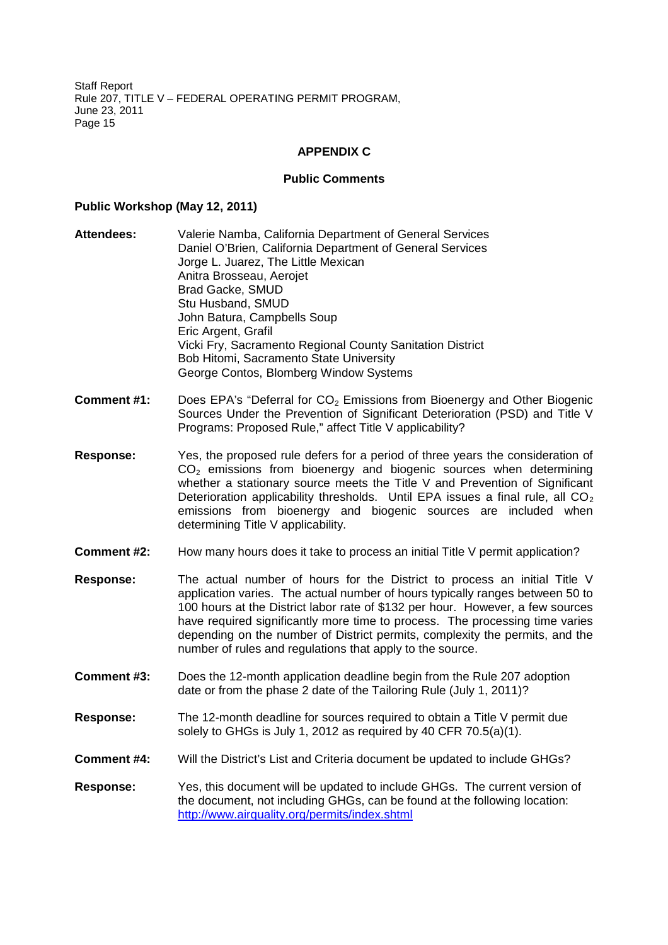#### **APPENDIX C**

#### **Public Comments**

#### **Public Workshop (May 12, 2011)**

- **Attendees:** Valerie Namba, California Department of General Services Daniel O'Brien, California Department of General Services Jorge L. Juarez, The Little Mexican Anitra Brosseau, Aerojet Brad Gacke, SMUD Stu Husband, SMUD John Batura, Campbells Soup Eric Argent, Grafil Vicki Fry, Sacramento Regional County Sanitation District Bob Hitomi, Sacramento State University George Contos, Blomberg Window Systems
- **Comment #1:** Does EPA's "Deferral for CO<sub>2</sub> Emissions from Bioenergy and Other Biogenic Sources Under the Prevention of Significant Deterioration (PSD) and Title V Programs: Proposed Rule," affect Title V applicability?
- **Response:** Yes, the proposed rule defers for a period of three years the consideration of  $CO<sub>2</sub>$  emissions from bioenergy and biogenic sources when determining whether a stationary source meets the Title V and Prevention of Significant Deterioration applicability thresholds. Until EPA issues a final rule, all  $CO<sub>2</sub>$ emissions from bioenergy and biogenic sources are included when determining Title V applicability.
- **Comment #2:** How many hours does it take to process an initial Title V permit application?
- **Response:** The actual number of hours for the District to process an initial Title V application varies. The actual number of hours typically ranges between 50 to 100 hours at the District labor rate of \$132 per hour. However, a few sources have required significantly more time to process. The processing time varies depending on the number of District permits, complexity the permits, and the number of rules and regulations that apply to the source.
- **Comment #3:** Does the 12-month application deadline begin from the Rule 207 adoption date or from the phase 2 date of the Tailoring Rule (July 1, 2011)?
- **Response:** The 12-month deadline for sources required to obtain a Title V permit due solely to GHGs is July 1, 2012 as required by 40 CFR 70.5(a)(1).
- **Comment #4:** Will the District's List and Criteria document be updated to include GHGs?
- **Response:** Yes, this document will be updated to include GHGs. The current version of the document, not including GHGs, can be found at the following location: http://www.airquality.org/permits/index.shtml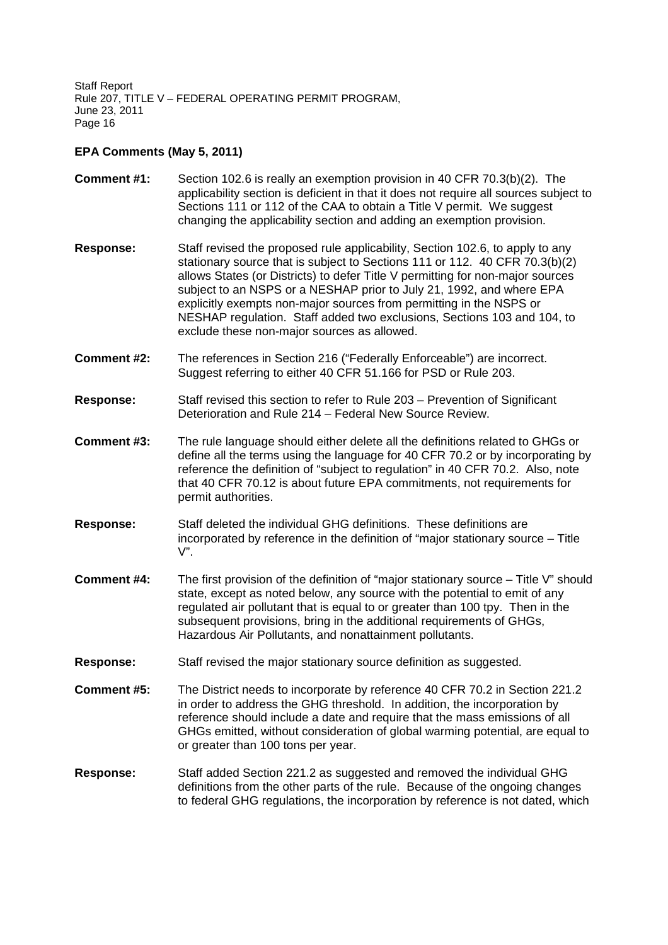### **EPA Comments (May 5, 2011)**

- **Comment #1:** Section 102.6 is really an exemption provision in 40 CFR 70.3(b)(2). The applicability section is deficient in that it does not require all sources subject to Sections 111 or 112 of the CAA to obtain a Title V permit. We suggest changing the applicability section and adding an exemption provision. **Response:** Staff revised the proposed rule applicability, Section 102.6, to apply to any stationary source that is subject to Sections 111 or 112. 40 CFR 70.3(b)(2) allows States (or Districts) to defer Title V permitting for non-major sources subject to an NSPS or a NESHAP prior to July 21, 1992, and where EPA explicitly exempts non-major sources from permitting in the NSPS or NESHAP regulation. Staff added two exclusions, Sections 103 and 104, to
- **Comment #2:** The references in Section 216 ("Federally Enforceable") are incorrect. Suggest referring to either 40 CFR 51.166 for PSD or Rule 203.

exclude these non-major sources as allowed.

- **Response:** Staff revised this section to refer to Rule 203 Prevention of Significant Deterioration and Rule 214 – Federal New Source Review.
- **Comment #3:** The rule language should either delete all the definitions related to GHGs or define all the terms using the language for 40 CFR 70.2 or by incorporating by reference the definition of "subject to regulation" in 40 CFR 70.2. Also, note that 40 CFR 70.12 is about future EPA commitments, not requirements for permit authorities.
- **Response:** Staff deleted the individual GHG definitions. These definitions are incorporated by reference in the definition of "major stationary source – Title  $V$ ".
- **Comment #4:** The first provision of the definition of "major stationary source Title V" should state, except as noted below, any source with the potential to emit of any regulated air pollutant that is equal to or greater than 100 tpy. Then in the subsequent provisions, bring in the additional requirements of GHGs, Hazardous Air Pollutants, and nonattainment pollutants.
- **Response:** Staff revised the major stationary source definition as suggested.
- **Comment #5:** The District needs to incorporate by reference 40 CFR 70.2 in Section 221.2 in order to address the GHG threshold. In addition, the incorporation by reference should include a date and require that the mass emissions of all GHGs emitted, without consideration of global warming potential, are equal to or greater than 100 tons per year.
- **Response:** Staff added Section 221.2 as suggested and removed the individual GHG definitions from the other parts of the rule. Because of the ongoing changes to federal GHG regulations, the incorporation by reference is not dated, which